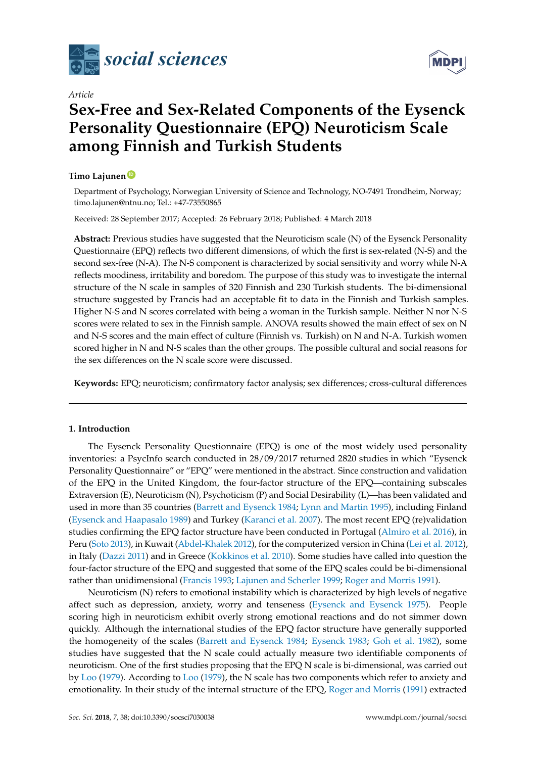

*Article*

# **Sex-Free and Sex-Related Components of the Eysenck Personality Questionnaire (EPQ) Neuroticism Scale among Finnish and Turkish Students**

## **Timo Lajunen [ID](https://orcid.org/0000-0001-5967-5254)**

Department of Psychology, Norwegian University of Science and Technology, NO-7491 Trondheim, Norway; timo.lajunen@ntnu.no; Tel.: +47-73550865

Received: 28 September 2017; Accepted: 26 February 2018; Published: 4 March 2018

**Abstract:** Previous studies have suggested that the Neuroticism scale (N) of the Eysenck Personality Questionnaire (EPQ) reflects two different dimensions, of which the first is sex-related (N-S) and the second sex-free (N-A). The N-S component is characterized by social sensitivity and worry while N-A reflects moodiness, irritability and boredom. The purpose of this study was to investigate the internal structure of the N scale in samples of 320 Finnish and 230 Turkish students. The bi-dimensional structure suggested by Francis had an acceptable fit to data in the Finnish and Turkish samples. Higher N-S and N scores correlated with being a woman in the Turkish sample. Neither N nor N-S scores were related to sex in the Finnish sample. ANOVA results showed the main effect of sex on N and N-S scores and the main effect of culture (Finnish vs. Turkish) on N and N-A. Turkish women scored higher in N and N-S scales than the other groups. The possible cultural and social reasons for the sex differences on the N scale score were discussed.

**Keywords:** EPQ; neuroticism; confirmatory factor analysis; sex differences; cross-cultural differences

### **1. Introduction**

The Eysenck Personality Questionnaire (EPQ) is one of the most widely used personality inventories: a PsycInfo search conducted in 28/09/2017 returned 2820 studies in which "Eysenck Personality Questionnaire" or "EPQ" were mentioned in the abstract. Since construction and validation of the EPQ in the United Kingdom, the four-factor structure of the EPQ—containing subscales Extraversion (E), Neuroticism (N), Psychoticism (P) and Social Desirability (L)—has been validated and used in more than 35 countries [\(Barrett and Eysenck](#page-8-0) [1984;](#page-8-0) [Lynn and Martin](#page-9-0) [1995\)](#page-9-0), including Finland [\(Eysenck and Haapasalo](#page-8-1) [1989\)](#page-8-1) and Turkey [\(Karanci et al.](#page-9-1) [2007\)](#page-9-1). The most recent EPQ (re)validation studies confirming the EPQ factor structure have been conducted in Portugal [\(Almiro et al.](#page-8-2) [2016\)](#page-8-2), in Peru [\(Soto](#page-10-0) [2013\)](#page-10-0), in Kuwait [\(Abdel-Khalek](#page-8-3) [2012\)](#page-8-3), for the computerized version in China [\(Lei et al.](#page-9-2) [2012\)](#page-9-2), in Italy [\(Dazzi](#page-8-4) [2011\)](#page-8-4) and in Greece [\(Kokkinos et al.](#page-9-3) [2010\)](#page-9-3). Some studies have called into question the four-factor structure of the EPQ and suggested that some of the EPQ scales could be bi-dimensional rather than unidimensional [\(Francis](#page-9-4) [1993;](#page-9-4) [Lajunen and Scherler](#page-9-5) [1999;](#page-9-5) [Roger and Morris](#page-9-6) [1991\)](#page-9-6).

Neuroticism (N) refers to emotional instability which is characterized by high levels of negative affect such as depression, anxiety, worry and tenseness [\(Eysenck and Eysenck](#page-8-5) [1975\)](#page-8-5). People scoring high in neuroticism exhibit overly strong emotional reactions and do not simmer down quickly. Although the international studies of the EPQ factor structure have generally supported the homogeneity of the scales [\(Barrett and Eysenck](#page-8-0) [1984;](#page-8-0) [Eysenck](#page-8-6) [1983;](#page-8-6) [Goh et al.](#page-9-7) [1982\)](#page-9-7), some studies have suggested that the N scale could actually measure two identifiable components of neuroticism. One of the first studies proposing that the EPQ N scale is bi-dimensional, was carried out by [Loo](#page-9-8) [\(1979\)](#page-9-8). According to [Loo](#page-9-8) [\(1979\)](#page-9-8), the N scale has two components which refer to anxiety and emotionality. In their study of the internal structure of the EPQ, [Roger and Morris](#page-9-6) [\(1991\)](#page-9-6) extracted

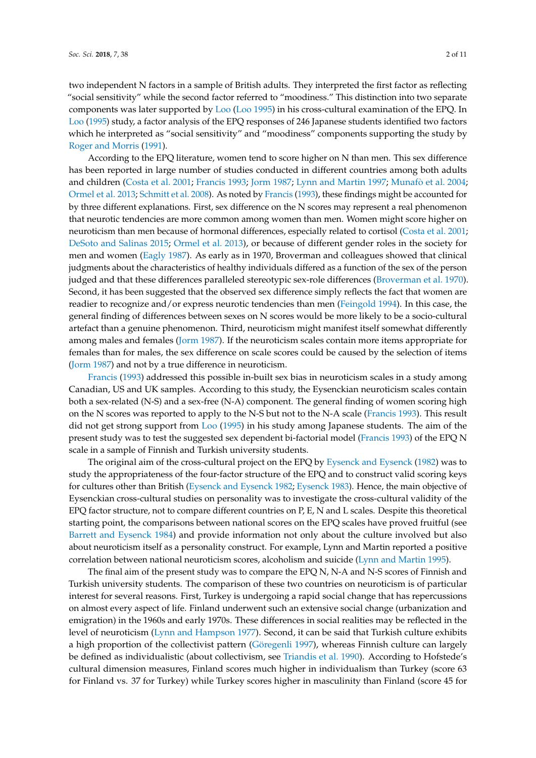two independent N factors in a sample of British adults. They interpreted the first factor as reflecting "social sensitivity" while the second factor referred to "moodiness." This distinction into two separate components was later supported by [Loo](#page-9-9) [\(Loo](#page-9-9) [1995\)](#page-9-9) in his cross-cultural examination of the EPQ. In [Loo](#page-9-9) [\(1995\)](#page-9-9) study, a factor analysis of the EPQ responses of 246 Japanese students identified two factors which he interpreted as "social sensitivity" and "moodiness" components supporting the study by [Roger and Morris](#page-9-6) [\(1991\)](#page-9-6).

According to the EPQ literature, women tend to score higher on N than men. This sex difference has been reported in large number of studies conducted in different countries among both adults and children [\(Costa et al.](#page-8-7) [2001;](#page-8-7) [Francis](#page-9-4) [1993;](#page-9-4) [Jorm](#page-9-10) [1987;](#page-9-10) [Lynn and Martin](#page-9-11) [1997;](#page-9-11) [Munaf](#page-9-12)ò et al. [2004;](#page-9-12) [Ormel et al.](#page-9-13) [2013;](#page-9-13) [Schmitt et al.](#page-9-14) [2008\)](#page-9-14). As noted by [Francis](#page-9-4) [\(1993\)](#page-9-4), these findings might be accounted for by three different explanations. First, sex difference on the N scores may represent a real phenomenon that neurotic tendencies are more common among women than men. Women might score higher on neuroticism than men because of hormonal differences, especially related to cortisol [\(Costa et al.](#page-8-7) [2001;](#page-8-7) [DeSoto and Salinas](#page-8-8) [2015;](#page-8-8) [Ormel et al.](#page-9-13) [2013\)](#page-9-13), or because of different gender roles in the society for men and women [\(Eagly](#page-8-9) [1987\)](#page-8-9). As early as in 1970, Broverman and colleagues showed that clinical judgments about the characteristics of healthy individuals differed as a function of the sex of the person judged and that these differences paralleled stereotypic sex-role differences [\(Broverman et al.](#page-8-10) [1970\)](#page-8-10). Second, it has been suggested that the observed sex difference simply reflects the fact that women are readier to recognize and/or express neurotic tendencies than men [\(Feingold](#page-8-11) [1994\)](#page-8-11). In this case, the general finding of differences between sexes on N scores would be more likely to be a socio-cultural artefact than a genuine phenomenon. Third, neuroticism might manifest itself somewhat differently among males and females [\(Jorm](#page-9-10) [1987\)](#page-9-10). If the neuroticism scales contain more items appropriate for females than for males, the sex difference on scale scores could be caused by the selection of items [\(Jorm](#page-9-10) [1987\)](#page-9-10) and not by a true difference in neuroticism.

[Francis](#page-9-4) [\(1993\)](#page-9-4) addressed this possible in-built sex bias in neuroticism scales in a study among Canadian, US and UK samples. According to this study, the Eysenckian neuroticism scales contain both a sex-related (N-S) and a sex-free (N-A) component. The general finding of women scoring high on the N scores was reported to apply to the N-S but not to the N-A scale [\(Francis](#page-9-4) [1993\)](#page-9-4). This result did not get strong support from [Loo](#page-9-9) [\(1995\)](#page-9-9) in his study among Japanese students. The aim of the present study was to test the suggested sex dependent bi-factorial model [\(Francis](#page-9-4) [1993\)](#page-9-4) of the EPQ N scale in a sample of Finnish and Turkish university students.

The original aim of the cross-cultural project on the EPQ by [Eysenck and Eysenck](#page-8-12) [\(1982\)](#page-8-12) was to study the appropriateness of the four-factor structure of the EPQ and to construct valid scoring keys for cultures other than British [\(Eysenck and Eysenck](#page-8-12) [1982;](#page-8-12) [Eysenck](#page-8-6) [1983\)](#page-8-6). Hence, the main objective of Eysenckian cross-cultural studies on personality was to investigate the cross-cultural validity of the EPQ factor structure, not to compare different countries on P, E, N and L scales. Despite this theoretical starting point, the comparisons between national scores on the EPQ scales have proved fruitful (see [Barrett and Eysenck](#page-8-0) [1984\)](#page-8-0) and provide information not only about the culture involved but also about neuroticism itself as a personality construct. For example, Lynn and Martin reported a positive correlation between national neuroticism scores, alcoholism and suicide [\(Lynn and Martin](#page-9-0) [1995\)](#page-9-0).

The final aim of the present study was to compare the EPQ N, N-A and N-S scores of Finnish and Turkish university students. The comparison of these two countries on neuroticism is of particular interest for several reasons. First, Turkey is undergoing a rapid social change that has repercussions on almost every aspect of life. Finland underwent such an extensive social change (urbanization and emigration) in the 1960s and early 1970s. These differences in social realities may be reflected in the level of neuroticism [\(Lynn and Hampson](#page-9-15) [1977\)](#page-9-15). Second, it can be said that Turkish culture exhibits a high proportion of the collectivist pattern [\(Göregenli](#page-9-16) [1997\)](#page-9-16), whereas Finnish culture can largely be defined as individualistic (about collectivism, see [Triandis et al.](#page-10-1) [1990\)](#page-10-1). According to Hofstede's cultural dimension measures, Finland scores much higher in individualism than Turkey (score 63 for Finland vs. 37 for Turkey) while Turkey scores higher in masculinity than Finland (score 45 for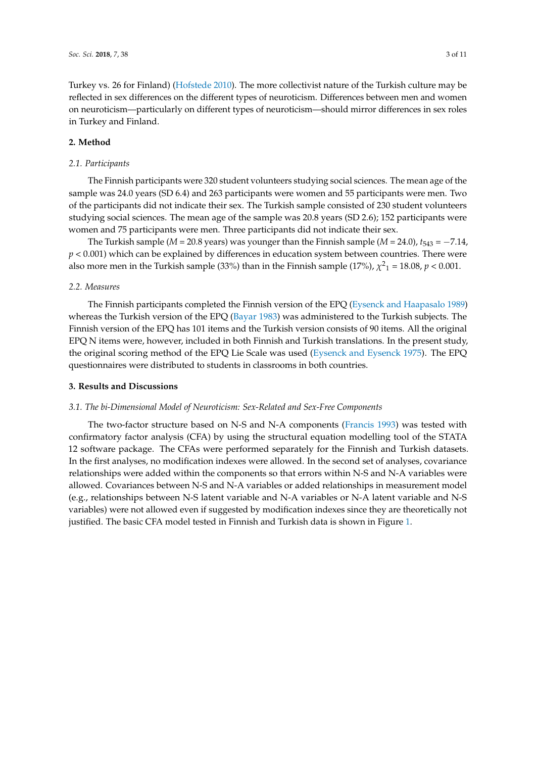Turkey vs. 26 for Finland) [\(Hofstede](#page-9-17) [2010\)](#page-9-17). The more collectivist nature of the Turkish culture may be reflected in sex differences on the different types of neuroticism. Differences between men and women on neuroticism—particularly on different types of neuroticism—should mirror differences in sex roles in Turkey and Finland.

#### **2. Method**

#### *2.1. Participants*

The Finnish participants were 320 student volunteers studying social sciences. The mean age of the sample was 24.0 years (SD 6.4) and 263 participants were women and 55 participants were men. Two of the participants did not indicate their sex. The Turkish sample consisted of 230 student volunteers studying social sciences. The mean age of the sample was 20.8 years (SD 2.6); 152 participants were women and 75 participants were men. Three participants did not indicate their sex.

The Turkish sample ( $M = 20.8$  years) was younger than the Finnish sample ( $M = 24.0$ ),  $t_{543} = -7.14$ ,  $p < 0.001$ ) which can be explained by differences in education system between countries. There were also more men in the Turkish sample (33%) than in the Finnish sample (17%),  $\chi^2$ <sub>1</sub> = 18.08, *p* < 0.001.

#### *2.2. Measures*

The Finnish participants completed the Finnish version of the EPQ [\(Eysenck and Haapasalo](#page-8-1) [1989\)](#page-8-1) whereas the Turkish version of the EPQ [\(Bayar](#page-8-13) [1983\)](#page-8-13) was administered to the Turkish subjects. The Finnish version of the EPQ has 101 items and the Turkish version consists of 90 items. All the original EPQ N items were, however, included in both Finnish and Turkish translations. In the present study, the original scoring method of the EPQ Lie Scale was used [\(Eysenck and Eysenck](#page-8-5) [1975\)](#page-8-5). The EPQ questionnaires were distributed to students in classrooms in both countries.

#### **3. Results and Discussions**

#### *3.1. The bi-Dimensional Model of Neuroticism: Sex-Related and Sex-Free Components*

The two-factor structure based on N-S and N-A components [\(Francis](#page-9-4) [1993\)](#page-9-4) was tested with confirmatory factor analysis (CFA) by using the structural equation modelling tool of the STATA 12 software package. The CFAs were performed separately for the Finnish and Turkish datasets. In the first analyses, no modification indexes were allowed. In the second set of analyses, covariance relationships were added within the components so that errors within N-S and N-A variables were allowed. Covariances between N-S and N-A variables or added relationships in measurement model (e.g., relationships between N-S latent variable and N-A variables or N-A latent variable and N-S variables) were not allowed even if suggested by modification indexes since they are theoretically not justified. The basic CFA model tested in Finnish and Turkish data is shown in Figure [1.](#page-3-0)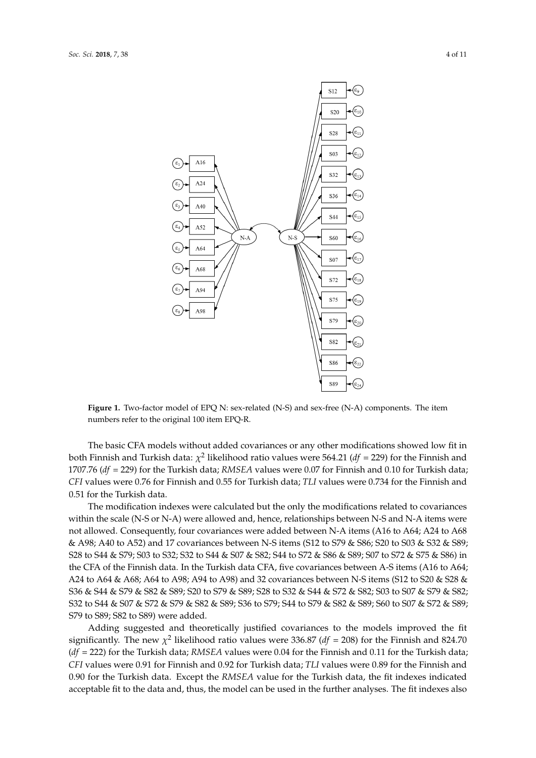<span id="page-3-0"></span>

**Figure 1.** Two-factor model of EPQ N: sex-related (N-S) and sex-free (N-A) components. The item **Figure 1.** Two-factor model of EPQ N: sex-related (N-S) and sex-free (N-A) components. The item numbers refer to the original 100 item EPQ-R. numbers refer to the original 100 item EPQ-R.

 $T$  is basic cFA models with added covariances or any other modifications showed low fit in  $\alpha$ The basic CFA models without added covariances or any other modifications showed low fit in<br>The passic CFA models without added covariances or any other modifications showed low fit in both Finnish and Turkish data:  $\chi^2$  likelihood ratio values were 564.21 (*df* = 229) for the Finnish and 1707.76 (*df* = 229) for the Turkish data; *RMSEA* values were 0.07 for Finnish and 0.10 for Turkish data;<br> $\overline{C}$ 0.51 for the Turkish data. *CFI* values were 0.76 for Finnish and 0.55 for Turkish data; *TLI* values were 0.734 for the Finnish and  $T$  modification indexes were calculated but the only the modifications related to covariances related to covariances  $T$ 0.51 for the Turkish data.

The modification indexes were calculated but the only the modifications related to covariances within the scale (N-S or N-A) were allowed and, hence, relationships between N-S and N-A items were not allowed. Consequently, four covariances were added between N-A items (A16 to A64; A24 to A68) & A98; A40 to A52) and 17 covariances between N-S items (S12 to S79 & S86; S20 to S03 & S32 & S89; \, & S86) in the CFA of the Finnish data. In the Turkish data CFA, five covariances between A-S items S28 to S44 & S79; S03 to S32; S32 to S44 & S07 & S82; S44 to S72 & S86 & S89; S07 to S72 & S75 & S86) in the CFA of the Finnish data. In the Turkish data CFA, five covariances between A-S items (A16 to A64;<br>the CFA of the Finnish data. In the Turkish data CFA, five covariances between A-S items (A16 to A64; A24 to A64 & A68; A64 to A98; A94 to A98) and 32 covariances between N-S items (S12 to S20 & S28 &  $\frac{1}{2}$ S36 & S44 & S79 & S82 & S89; S20 to S79 & S89; S28 to S32 & S44 & S72 & S82; S03 to S07 & S79 & S82;<br>. to S07 & S72 & S89; S79 to S89; S82 to S89) were added. S32 to S44 & S07 & S72 & S79 & S82 & S89; S36 to S79; S44 to S79 & S82 & S89; S60 to S07 & S72 & S89; Adding suggested and theoretically justified covariances to the models improved the fit S79 to S89; S82 to S89) were added.

Adding suggested and theoretically justified covariances to the models improved the fit significantly. The new  $\chi^2$  likelihood ratio values were 336.87 (*df* = 208) for the Finnish and 824.70  $(df = 222)$  for the Turkish data; RMSEA values were 0.04 for the Finnish and 0.11 for the Turkish data; *CFI* values were 0.91 for Finnish and 0.92 for Turkish data; *TLI* values were 0.89 for the Finnish and 0.92 for 0.90 for the Turkish data. Except the *RMSEA* value for the Turkish data, the fit indexes indicated acceptable fit to the data and, thus, the model can be used in the further analyses. The fit indexes also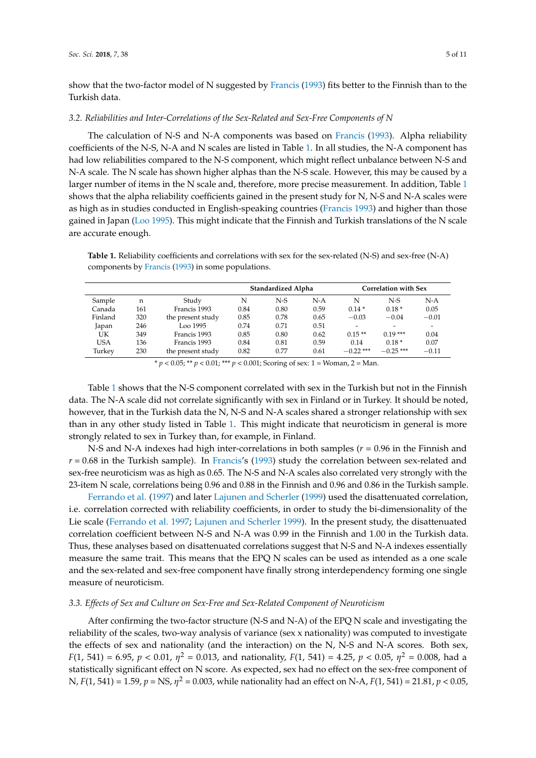show that the two-factor model of N suggested by [Francis](#page-9-4) [\(1993\)](#page-9-4) fits better to the Finnish than to the Turkish data.

#### *3.2. Reliabilities and Inter-Correlations of the Sex-Related and Sex-Free Components of N*

The calculation of N-S and N-A components was based on [Francis](#page-9-4) [\(1993\)](#page-9-4). Alpha reliability coefficients of the N-S, N-A and N scales are listed in Table [1.](#page-4-0) In all studies, the N-A component has had low reliabilities compared to the N-S component, which might reflect unbalance between N-S and N-A scale. The N scale has shown higher alphas than the N-S scale. However, this may be caused by a larger number of items in the N scale and, therefore, more precise measurement. In addition, Table [1](#page-4-0) shows that the alpha reliability coefficients gained in the present study for N, N-S and N-A scales were as high as in studies conducted in English-speaking countries [\(Francis](#page-9-4) [1993\)](#page-9-4) and higher than those gained in Japan [\(Loo](#page-9-9) [1995\)](#page-9-9). This might indicate that the Finnish and Turkish translations of the N scale are accurate enough.

<span id="page-4-0"></span>**Table 1.** Reliability coefficients and correlations with sex for the sex-related (N-S) and sex-free (N-A) components by [Francis](#page-9-4) [\(1993\)](#page-9-4) in some populations.

|            |     |                   | Standardized Alpha |       |       | <b>Correlation with Sex</b> |                          |         |
|------------|-----|-------------------|--------------------|-------|-------|-----------------------------|--------------------------|---------|
| Sample     | n   | Study             | N                  | $N-S$ | $N-A$ | N                           | $N-S$                    | $N-A$   |
| Canada     | 161 | Francis 1993      | 0.84               | 0.80  | 0.59  | $0.14*$                     | $0.18*$                  | 0.05    |
| Finland    | 320 | the present study | 0.85               | 0.78  | 0.65  | $-0.03$                     | $-0.04$                  | $-0.01$ |
| Japan      | 246 | Loo 1995          | 0.74               | 0.71  | 0.51  | $\overline{\phantom{0}}$    | $\overline{\phantom{a}}$ |         |
| UK         | 349 | Francis 1993      | 0.85               | 0.80  | 0.62  | $0.15**$                    | $0.19***$                | 0.04    |
| <b>USA</b> | 136 | Francis 1993      | 0.84               | 0.81  | 0.59  | 0.14                        | $0.18*$                  | 0.07    |
| Turkey     | 230 | the present study | 0.82               | 0.77  | 0.61  | $-0.22$ ***                 | $-0.25$ ***              | $-0.11$ |

 $* p < 0.05$ ; \*\*  $p < 0.01$ ; \*\*\*  $p < 0.001$ ; Scoring of sex: 1 = Woman, 2 = Man.

Table [1](#page-4-0) shows that the N-S component correlated with sex in the Turkish but not in the Finnish data. The N-A scale did not correlate significantly with sex in Finland or in Turkey. It should be noted, however, that in the Turkish data the N, N-S and N-A scales shared a stronger relationship with sex than in any other study listed in Table [1.](#page-4-0) This might indicate that neuroticism in general is more strongly related to sex in Turkey than, for example, in Finland.

N-S and N-A indexes had high inter-correlations in both samples (*r* = 0.96 in the Finnish and  $r = 0.68$  in the Turkish sample). In [Francis'](#page-9-4)s [\(1993\)](#page-9-4) study the correlation between sex-related and sex-free neuroticism was as high as 0.65. The N-S and N-A scales also correlated very strongly with the 23-item N scale, correlations being 0.96 and 0.88 in the Finnish and 0.96 and 0.86 in the Turkish sample.

[Ferrando et al.](#page-8-14) [\(1997\)](#page-8-14) and later [Lajunen and Scherler](#page-9-5) [\(1999\)](#page-9-5) used the disattenuated correlation, i.e. correlation corrected with reliability coefficients, in order to study the bi-dimensionality of the Lie scale [\(Ferrando et al.](#page-8-14) [1997;](#page-8-14) [Lajunen and Scherler](#page-9-5) [1999\)](#page-9-5). In the present study, the disattenuated correlation coefficient between N-S and N-A was 0.99 in the Finnish and 1.00 in the Turkish data. Thus, these analyses based on disattenuated correlations suggest that N-S and N-A indexes essentially measure the same trait. This means that the EPQ N scales can be used as intended as a one scale and the sex-related and sex-free component have finally strong interdependency forming one single measure of neuroticism.

#### *3.3. Effects of Sex and Culture on Sex-Free and Sex-Related Component of Neuroticism*

After confirming the two-factor structure (N-S and N-A) of the EPQ N scale and investigating the reliability of the scales, two-way analysis of variance (sex x nationality) was computed to investigate the effects of sex and nationality (and the interaction) on the N, N-S and N-A scores. Both sex, *F*(1, 541) = 6.95,  $p < 0.01$ ,  $\eta^2 = 0.013$ , and nationality, *F*(1, 541) = 4.25,  $p < 0.05$ ,  $\eta^2 = 0.008$ , had a statistically significant effect on N score. As expected, sex had no effect on the sex-free component of N, *F*(1, 541) = 1.59, *p* = NS, *η* <sup>2</sup> = 0.003, while nationality had an effect on N-A, *F*(1, 541) = 21.81, *p* < 0.05,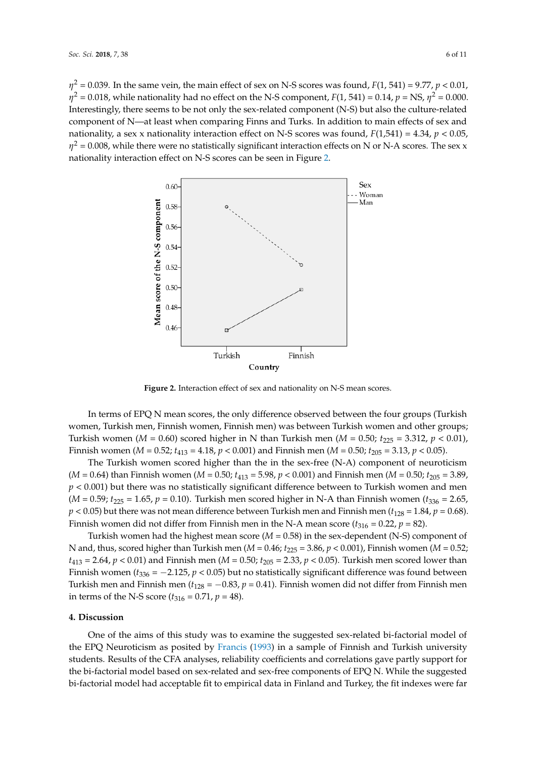$\eta^2$  = 0.039. In the same vein, the main effect of sex on N-S scores was found,  $F(1, 541)$  = 9.77,  $p$  < 0.01,  $\eta^2$  = 0.018, while nationality had no effect on the N-S component, *F*(1, 541) = 0.14, *p* = NS,  $\eta^2$  = 0.000. Interestingly, there seems to be not only the sex-related component (N-S) but also the culture-related Interestingly, there seems to be not only the sex-related component (N-S) but also the culture-related component of N—at least when comparing Finns and Turks. In addition to main effects of sex and nationality, a sex x nationality interaction effect on N-S scores was found,  $F(1,541) = 4.34$ ,  $p < 0.05$ ,  $\eta^2$  = 0.008, while there were no statistically significant interaction effects on N or N-A scores. The sex x nationality interaction effect on N-S scores can be seen in Figure [2.](#page-5-0) nationality interaction effect on N-S scores can be seen in Figure 2.

<span id="page-5-0"></span>

**Figure 2.** Interaction effect of sex and nationality on N-S mean scores. **Figure 2.** Interaction effect of sex and nationality on N-S mean scores.

In terms of EPQ N mean scores, the only difference observed between the four groups (Turkish In terms of EPQ N mean scores, the only difference observed between the four groups (Turkish women, Turkish men, Finnish women, Finnish men) was between Turkish women and other groups; women, Turkish men, Finnish women, Finnish men) was between Turkish women and other groups; Turkish women (*M* = 0.60) scored higher in N than Turkish men (*M* = 0.50;  $t_{225}$  = 3.312,  $p$  < 0.01), Finnish women ( $M = 0.52$ ;  $t_{413} = 4.18$ ,  $p < 0.001$ ) and Finnish men ( $M = 0.50$ ;  $t_{205} = 3.13$ ,  $p < 0.05$ ).

The Turkish women scored higher than the in the sex-free (N-A) component of neuroticism The Turkish women scored higher than the in the sex-free (N-A) component of neuroticism (*M* = 0.64) than Finnish women (*M* = 0.50;  $t_{413}$  = 5.98,  $p$  < 0.001) and Finnish men (*M* = 0.50;  $t_{205}$  = 3.89, *p* < 0.001) but there was no statistically significant difference between to Turkish women and men *p* < 0.001) but there was no statistically significant difference between to Turkish women and men (*M* = 0.59;  $t_{225}$  = 1.65,  $p$  = 0.10). Turkish men scored higher in N-A than Finnish women ( $t_{336}$  = 2.65,  $p$  < 0.05) but there was not mean difference between Turkish men and Finnish men ( $t_{128}$  = 1.84,  $p$  = 0.68). Finnish women did not differ from Finnish men in the N-A mean score ( $t_{316}$  = 0.22,  $p$  = 82).

Turkish women had the highest mean score (*M* = 0.58) in the sex-dependent (N-S) component of Turkish women had the highest mean score (*M* = 0.58) in the sex-dependent (N-S) component of N and, thus, scored higher than Turkish men ( $M$  = 0.46;  $t_{225}$  = 3.86,  $p$  < 0.001), Finnish women ( $M$  = 0.52;  $t_{413}$  = 2.64,  $p$  < 0.01) and Finnish men (M = 0.50;  $t_{205}$  = 2.33,  $p$  < 0.05). Turkish men scored lower than Finnish women ( $t_{336} = -2.125$ ,  $p < 0.05$ ) but no statistically significant difference was found between Turkish men and Finnish men ( $t_{128} = -0.83$ ,  $p = 0.41$ ). Finnish women did not differ from Finnish men in terms of the N-S score ( $t_{316} = 0.71$ ,  $p = 48$ ).

# **4. Discussion 4. Discussion**

One of the aims of this study was to examine the suggested sex-related bi-factorial model of the One of the aims of this study was to examine the suggested sex-related bi-factorial model of the EPQ Neuroticism as posited by [Francis](#page-9-4) [\(1993\)](#page-9-4) in a sample of Finnish and Turkish university students. Results of the CFA analyses, reliability coefficients and correlations gave partly support for the bi-factorial model based on sex-related and sex-free components of EPQ N. While the suggested factorial model had acceptable fit to empirical data in Finland and Turkey, the fit indexes were far bi-factorial model had acceptable fit to empirical data in Finland and Turkey, the fit indexes were far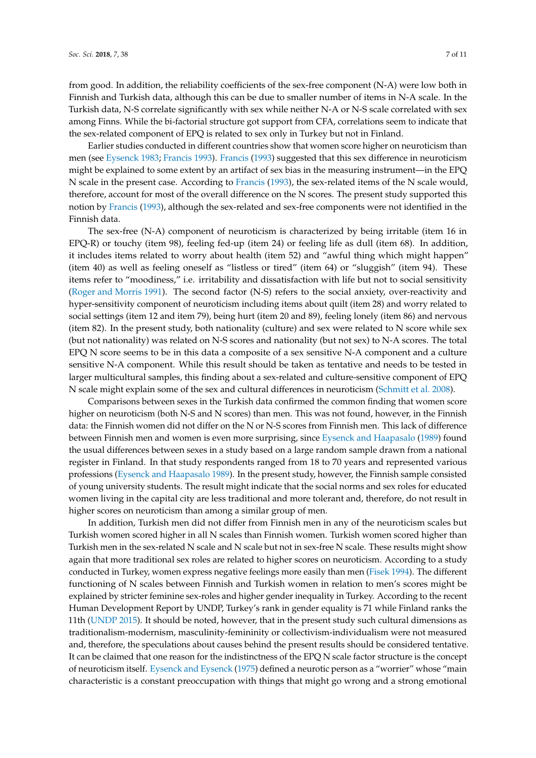from good. In addition, the reliability coefficients of the sex-free component (N-A) were low both in Finnish and Turkish data, although this can be due to smaller number of items in N-A scale. In the Turkish data, N-S correlate significantly with sex while neither N-A or N-S scale correlated with sex among Finns. While the bi-factorial structure got support from CFA, correlations seem to indicate that the sex-related component of EPQ is related to sex only in Turkey but not in Finland.

Earlier studies conducted in different countries show that women score higher on neuroticism than men (see [Eysenck](#page-8-6) [1983;](#page-8-6) [Francis](#page-9-4) [1993\)](#page-9-4). [Francis](#page-9-4) [\(1993\)](#page-9-4) suggested that this sex difference in neuroticism might be explained to some extent by an artifact of sex bias in the measuring instrument—in the EPQ N scale in the present case. According to [Francis](#page-9-4) [\(1993\)](#page-9-4), the sex-related items of the N scale would, therefore, account for most of the overall difference on the N scores. The present study supported this notion by [Francis](#page-9-4) [\(1993\)](#page-9-4), although the sex-related and sex-free components were not identified in the Finnish data.

The sex-free (N-A) component of neuroticism is characterized by being irritable (item 16 in EPQ-R) or touchy (item 98), feeling fed-up (item 24) or feeling life as dull (item 68). In addition, it includes items related to worry about health (item 52) and "awful thing which might happen" (item 40) as well as feeling oneself as "listless or tired" (item 64) or "sluggish" (item 94). These items refer to "moodiness," i.e. irritability and dissatisfaction with life but not to social sensitivity [\(Roger and Morris](#page-9-6) [1991\)](#page-9-6). The second factor (N-S) refers to the social anxiety, over-reactivity and hyper-sensitivity component of neuroticism including items about quilt (item 28) and worry related to social settings (item 12 and item 79), being hurt (item 20 and 89), feeling lonely (item 86) and nervous (item 82). In the present study, both nationality (culture) and sex were related to N score while sex (but not nationality) was related on N-S scores and nationality (but not sex) to N-A scores. The total EPQ N score seems to be in this data a composite of a sex sensitive N-A component and a culture sensitive N-A component. While this result should be taken as tentative and needs to be tested in larger multicultural samples, this finding about a sex-related and culture-sensitive component of EPQ N scale might explain some of the sex and cultural differences in neuroticism [\(Schmitt et al.](#page-9-14) [2008\)](#page-9-14).

Comparisons between sexes in the Turkish data confirmed the common finding that women score higher on neuroticism (both N-S and N scores) than men. This was not found, however, in the Finnish data: the Finnish women did not differ on the N or N-S scores from Finnish men. This lack of difference between Finnish men and women is even more surprising, since [Eysenck and Haapasalo](#page-8-1) [\(1989\)](#page-8-1) found the usual differences between sexes in a study based on a large random sample drawn from a national register in Finland. In that study respondents ranged from 18 to 70 years and represented various professions [\(Eysenck and Haapasalo](#page-8-1) [1989\)](#page-8-1). In the present study, however, the Finnish sample consisted of young university students. The result might indicate that the social norms and sex roles for educated women living in the capital city are less traditional and more tolerant and, therefore, do not result in higher scores on neuroticism than among a similar group of men.

In addition, Turkish men did not differ from Finnish men in any of the neuroticism scales but Turkish women scored higher in all N scales than Finnish women. Turkish women scored higher than Turkish men in the sex-related N scale and N scale but not in sex-free N scale. These results might show again that more traditional sex roles are related to higher scores on neuroticism. According to a study conducted in Turkey, women express negative feelings more easily than men [\(Fisek](#page-8-15) [1994\)](#page-8-15). The different functioning of N scales between Finnish and Turkish women in relation to men's scores might be explained by stricter feminine sex-roles and higher gender inequality in Turkey. According to the recent Human Development Report by UNDP, Turkey's rank in gender equality is 71 while Finland ranks the 11th [\(UNDP](#page-10-2) [2015\)](#page-10-2). It should be noted, however, that in the present study such cultural dimensions as traditionalism-modernism, masculinity-femininity or collectivism-individualism were not measured and, therefore, the speculations about causes behind the present results should be considered tentative. It can be claimed that one reason for the indistinctness of the EPQ N scale factor structure is the concept of neuroticism itself. [Eysenck and Eysenck](#page-8-5) [\(1975\)](#page-8-5) defined a neurotic person as a "worrier" whose "main characteristic is a constant preoccupation with things that might go wrong and a strong emotional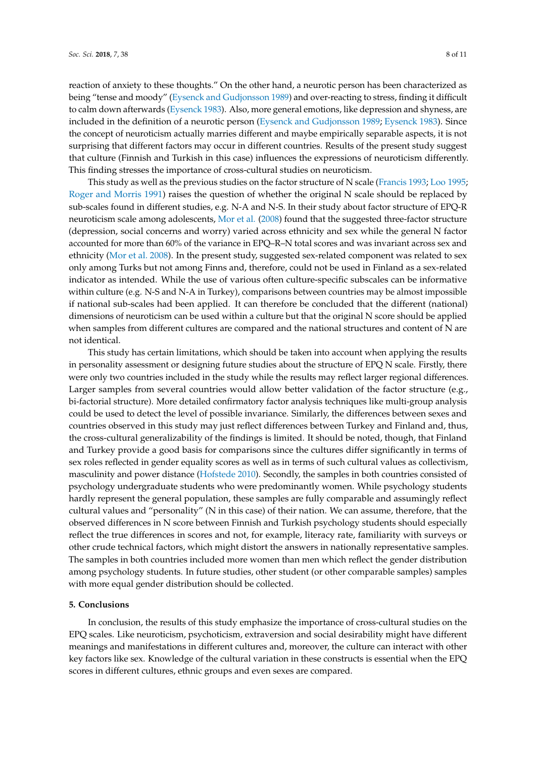reaction of anxiety to these thoughts." On the other hand, a neurotic person has been characterized as being "tense and moody" [\(Eysenck and Gudjonsson](#page-8-16) [1989\)](#page-8-16) and over-reacting to stress, finding it difficult to calm down afterwards [\(Eysenck](#page-8-6) [1983\)](#page-8-6). Also, more general emotions, like depression and shyness, are included in the definition of a neurotic person [\(Eysenck and Gudjonsson](#page-8-16) [1989;](#page-8-16) [Eysenck](#page-8-6) [1983\)](#page-8-6). Since the concept of neuroticism actually marries different and maybe empirically separable aspects, it is not surprising that different factors may occur in different countries. Results of the present study suggest that culture (Finnish and Turkish in this case) influences the expressions of neuroticism differently. This finding stresses the importance of cross-cultural studies on neuroticism.

This study as well as the previous studies on the factor structure of N scale [\(Francis](#page-9-4) [1993;](#page-9-4) [Loo](#page-9-9) [1995;](#page-9-9) [Roger and Morris](#page-9-6) [1991\)](#page-9-6) raises the question of whether the original N scale should be replaced by sub-scales found in different studies, e.g. N-A and N-S. In their study about factor structure of EPQ-R neuroticism scale among adolescents, [Mor et al.](#page-9-18) [\(2008\)](#page-9-18) found that the suggested three-factor structure (depression, social concerns and worry) varied across ethnicity and sex while the general N factor accounted for more than 60% of the variance in EPQ–R–N total scores and was invariant across sex and ethnicity [\(Mor et al.](#page-9-18) [2008\)](#page-9-18). In the present study, suggested sex-related component was related to sex only among Turks but not among Finns and, therefore, could not be used in Finland as a sex-related indicator as intended. While the use of various often culture-specific subscales can be informative within culture (e.g. N-S and N-A in Turkey), comparisons between countries may be almost impossible if national sub-scales had been applied. It can therefore be concluded that the different (national) dimensions of neuroticism can be used within a culture but that the original N score should be applied when samples from different cultures are compared and the national structures and content of N are not identical.

This study has certain limitations, which should be taken into account when applying the results in personality assessment or designing future studies about the structure of EPQ N scale. Firstly, there were only two countries included in the study while the results may reflect larger regional differences. Larger samples from several countries would allow better validation of the factor structure (e.g., bi-factorial structure). More detailed confirmatory factor analysis techniques like multi-group analysis could be used to detect the level of possible invariance. Similarly, the differences between sexes and countries observed in this study may just reflect differences between Turkey and Finland and, thus, the cross-cultural generalizability of the findings is limited. It should be noted, though, that Finland and Turkey provide a good basis for comparisons since the cultures differ significantly in terms of sex roles reflected in gender equality scores as well as in terms of such cultural values as collectivism, masculinity and power distance [\(Hofstede](#page-9-17) [2010\)](#page-9-17). Secondly, the samples in both countries consisted of psychology undergraduate students who were predominantly women. While psychology students hardly represent the general population, these samples are fully comparable and assumingly reflect cultural values and "personality" (N in this case) of their nation. We can assume, therefore, that the observed differences in N score between Finnish and Turkish psychology students should especially reflect the true differences in scores and not, for example, literacy rate, familiarity with surveys or other crude technical factors, which might distort the answers in nationally representative samples. The samples in both countries included more women than men which reflect the gender distribution among psychology students. In future studies, other student (or other comparable samples) samples with more equal gender distribution should be collected.

#### **5. Conclusions**

In conclusion, the results of this study emphasize the importance of cross-cultural studies on the EPQ scales. Like neuroticism, psychoticism, extraversion and social desirability might have different meanings and manifestations in different cultures and, moreover, the culture can interact with other key factors like sex. Knowledge of the cultural variation in these constructs is essential when the EPQ scores in different cultures, ethnic groups and even sexes are compared.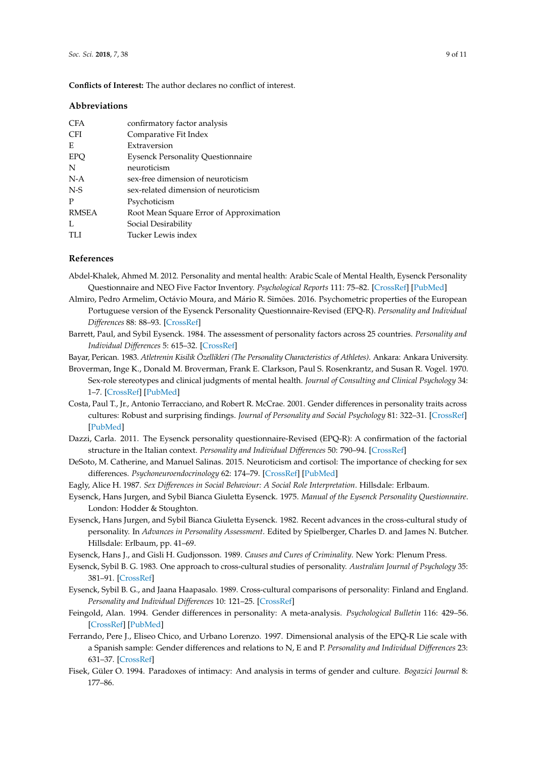**Conflicts of Interest:** The author declares no conflict of interest.

#### **Abbreviations**

| <b>CFA</b>   | confirmatory factor analysis             |  |
|--------------|------------------------------------------|--|
| <b>CFI</b>   | Comparative Fit Index                    |  |
| E            | Extraversion                             |  |
| <b>EPO</b>   | <b>Eysenck Personality Questionnaire</b> |  |
| N            | neuroticism                              |  |
| $N-A$        | sex-free dimension of neuroticism        |  |
| $N-S$        | sex-related dimension of neuroticism     |  |
| P            | Psychoticism                             |  |
| <b>RMSEA</b> | Root Mean Square Error of Approximation  |  |
| L            | Social Desirability                      |  |
| TLI          | Tucker Lewis index                       |  |
|              |                                          |  |

#### **References**

- <span id="page-8-3"></span>Abdel-Khalek, Ahmed M. 2012. Personality and mental health: Arabic Scale of Mental Health, Eysenck Personality Questionnaire and NEO Five Factor Inventory. *Psychological Reports* 111: 75–82. [\[CrossRef\]](http://dx.doi.org/10.2466/09.02.08.PR0.111.4.75-82) [\[PubMed\]](http://www.ncbi.nlm.nih.gov/pubmed/23045849)
- <span id="page-8-2"></span>Almiro, Pedro Armelim, Octávio Moura, and Mário R. Simões. 2016. Psychometric properties of the European Portuguese version of the Eysenck Personality Questionnaire-Revised (EPQ-R). *Personality and Individual Differences* 88: 88–93. [\[CrossRef\]](http://dx.doi.org/10.1016/j.paid.2015.08.050)
- <span id="page-8-0"></span>Barrett, Paul, and Sybil Eysenck. 1984. The assessment of personality factors across 25 countries. *Personality and Individual Differences* 5: 615–32. [\[CrossRef\]](http://dx.doi.org/10.1016/0191-8869(84)90110-7)
- <span id="page-8-13"></span><span id="page-8-10"></span>Bayar, Perican. 1983. *Atletrenin Kisilik Özellikleri (The Personality Characteristics of Athletes)*. Ankara: Ankara University.
- Broverman, Inge K., Donald M. Broverman, Frank E. Clarkson, Paul S. Rosenkrantz, and Susan R. Vogel. 1970. Sex-role stereotypes and clinical judgments of mental health. *Journal of Consulting and Clinical Psychology* 34: 1–7. [\[CrossRef\]](http://dx.doi.org/10.1037/h0028797) [\[PubMed\]](http://www.ncbi.nlm.nih.gov/pubmed/5436460)
- <span id="page-8-7"></span>Costa, Paul T., Jr., Antonio Terracciano, and Robert R. McCrae. 2001. Gender differences in personality traits across cultures: Robust and surprising findings. *Journal of Personality and Social Psychology* 81: 322–31. [\[CrossRef\]](http://dx.doi.org/10.1037/0022-3514.81.2.322) [\[PubMed\]](http://www.ncbi.nlm.nih.gov/pubmed/11519935)
- <span id="page-8-4"></span>Dazzi, Carla. 2011. The Eysenck personality questionnaire-Revised (EPQ-R): A confirmation of the factorial structure in the Italian context. *Personality and Individual Differences* 50: 790–94. [\[CrossRef\]](http://dx.doi.org/10.1016/j.paid.2010.12.032)
- <span id="page-8-8"></span>DeSoto, M. Catherine, and Manuel Salinas. 2015. Neuroticism and cortisol: The importance of checking for sex differences. *Psychoneuroendocrinology* 62: 174–79. [\[CrossRef\]](http://dx.doi.org/10.1016/j.psyneuen.2015.07.608) [\[PubMed\]](http://www.ncbi.nlm.nih.gov/pubmed/26318627)
- <span id="page-8-9"></span>Eagly, Alice H. 1987. *Sex Differences in Social Behaviour: A Social Role Interpretation*. Hillsdale: Erlbaum.
- <span id="page-8-5"></span>Eysenck, Hans Jurgen, and Sybil Bianca Giuletta Eysenck. 1975. *Manual of the Eysenck Personality Questionnaire*. London: Hodder & Stoughton.
- <span id="page-8-12"></span>Eysenck, Hans Jurgen, and Sybil Bianca Giuletta Eysenck. 1982. Recent advances in the cross-cultural study of personality. In *Advances in Personality Assessment*. Edited by Spielberger, Charles D. and James N. Butcher. Hillsdale: Erlbaum, pp. 41–69.
- <span id="page-8-16"></span>Eysenck, Hans J., and Gisli H. Gudjonsson. 1989. *Causes and Cures of Criminality*. New York: Plenum Press.
- <span id="page-8-6"></span>Eysenck, Sybil B. G. 1983. One approach to cross-cultural studies of personality. *Australian Journal of Psychology* 35: 381–91. [\[CrossRef\]](http://dx.doi.org/10.1080/00049538308258750)
- <span id="page-8-1"></span>Eysenck, Sybil B. G., and Jaana Haapasalo. 1989. Cross-cultural comparisons of personality: Finland and England. *Personality and Individual Differences* 10: 121–25. [\[CrossRef\]](http://dx.doi.org/10.1016/0191-8869(89)90188-8)
- <span id="page-8-11"></span>Feingold, Alan. 1994. Gender differences in personality: A meta-analysis. *Psychological Bulletin* 116: 429–56. [\[CrossRef\]](http://dx.doi.org/10.1037/0033-2909.116.3.429) [\[PubMed\]](http://www.ncbi.nlm.nih.gov/pubmed/7809307)
- <span id="page-8-14"></span>Ferrando, Pere J., Eliseo Chico, and Urbano Lorenzo. 1997. Dimensional analysis of the EPQ-R Lie scale with a Spanish sample: Gender differences and relations to N, E and P. *Personality and Individual Differences* 23: 631–37. [\[CrossRef\]](http://dx.doi.org/10.1016/S0191-8869(97)00082-2)
- <span id="page-8-15"></span>Fisek, Güler O. 1994. Paradoxes of intimacy: And analysis in terms of gender and culture. *Bogazici Journal* 8: 177–86.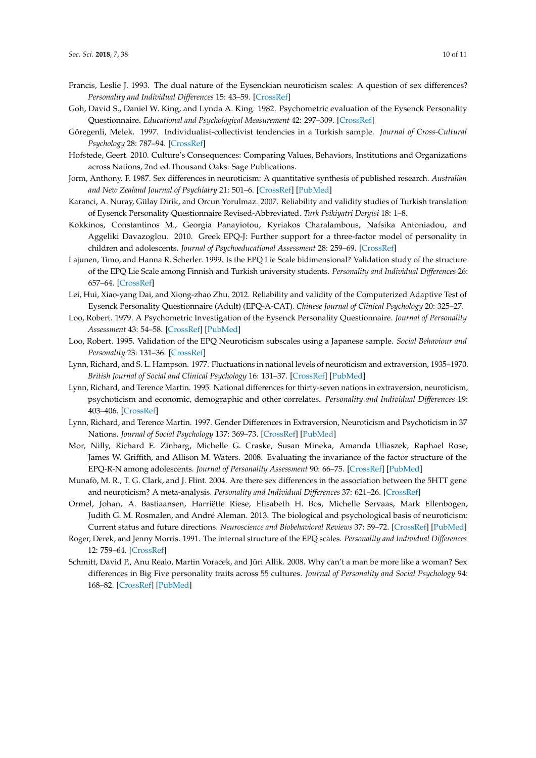- <span id="page-9-4"></span>Francis, Leslie J. 1993. The dual nature of the Eysenckian neuroticism scales: A question of sex differences? *Personality and Individual Differences* 15: 43–59. [\[CrossRef\]](http://dx.doi.org/10.1016/0191-8869(93)90040-A)
- <span id="page-9-7"></span>Goh, David S., Daniel W. King, and Lynda A. King. 1982. Psychometric evaluation of the Eysenck Personality Questionnaire. *Educational and Psychological Measurement* 42: 297–309. [\[CrossRef\]](http://dx.doi.org/10.1177/0013164482421036)
- <span id="page-9-16"></span>Göregenli, Melek. 1997. Individualist-collectivist tendencies in a Turkish sample. *Journal of Cross-Cultural Psychology* 28: 787–94. [\[CrossRef\]](http://dx.doi.org/10.1177/0022022197286009)
- <span id="page-9-17"></span>Hofstede, Geert. 2010. Culture's Consequences: Comparing Values, Behaviors, Institutions and Organizations across Nations, 2nd ed.Thousand Oaks: Sage Publications.
- <span id="page-9-10"></span>Jorm, Anthony. F. 1987. Sex differences in neuroticism: A quantitative synthesis of published research. *Australian and New Zealand Journal of Psychiatry* 21: 501–6. [\[CrossRef\]](http://dx.doi.org/10.3109/00048678709158917) [\[PubMed\]](http://www.ncbi.nlm.nih.gov/pubmed/3329513)
- <span id="page-9-1"></span>Karanci, A. Nuray, Gülay Dirik, and Orcun Yorulmaz. 2007. Reliability and validity studies of Turkish translation of Eysenck Personality Questionnaire Revised-Abbreviated. *Turk Psikiyatri Dergisi* 18: 1–8.
- <span id="page-9-3"></span>Kokkinos, Constantinos M., Georgia Panayiotou, Kyriakos Charalambous, Nafsika Antoniadou, and Aggeliki Davazoglou. 2010. Greek EPQ-J: Further support for a three-factor model of personality in children and adolescents. *Journal of Psychoeducational Assessment* 28: 259–69. [\[CrossRef\]](http://dx.doi.org/10.1177/0734282909351023)
- <span id="page-9-5"></span>Lajunen, Timo, and Hanna R. Scherler. 1999. Is the EPQ Lie Scale bidimensional? Validation study of the structure of the EPQ Lie Scale among Finnish and Turkish university students. *Personality and Individual Differences* 26: 657–64. [\[CrossRef\]](http://dx.doi.org/10.1016/S0191-8869(98)00163-9)
- <span id="page-9-2"></span>Lei, Hui, Xiao-yang Dai, and Xiong-zhao Zhu. 2012. Reliability and validity of the Computerized Adaptive Test of Eysenck Personality Questionnaire (Adult) (EPQ-A-CAT). *Chinese Journal of Clinical Psychology* 20: 325–27.
- <span id="page-9-8"></span>Loo, Robert. 1979. A Psychometric Investigation of the Eysenck Personality Questionnaire. *Journal of Personality Assessment* 43: 54–58. [\[CrossRef\]](http://dx.doi.org/10.1207/s15327752jpa4301_7) [\[PubMed\]](http://www.ncbi.nlm.nih.gov/pubmed/430332)
- <span id="page-9-9"></span>Loo, Robert. 1995. Validation of the EPQ Neuroticism subscales using a Japanese sample. *Social Behaviour and Personality* 23: 131–36. [\[CrossRef\]](http://dx.doi.org/10.2224/sbp.1995.23.2.131)
- <span id="page-9-15"></span>Lynn, Richard, and S. L. Hampson. 1977. Fluctuations in national levels of neuroticism and extraversion, 1935–1970. *British Journal of Social and Clinical Psychology* 16: 131–37. [\[CrossRef\]](http://dx.doi.org/10.1111/j.2044-8260.1977.tb00208.x) [\[PubMed\]](http://www.ncbi.nlm.nih.gov/pubmed/884428)
- <span id="page-9-0"></span>Lynn, Richard, and Terence Martin. 1995. National differences for thirty-seven nations in extraversion, neuroticism, psychoticism and economic, demographic and other correlates. *Personality and Individual Differences* 19: 403–406. [\[CrossRef\]](http://dx.doi.org/10.1016/0191-8869(95)00054-A)
- <span id="page-9-11"></span>Lynn, Richard, and Terence Martin. 1997. Gender Differences in Extraversion, Neuroticism and Psychoticism in 37 Nations. *Journal of Social Psychology* 137: 369–73. [\[CrossRef\]](http://dx.doi.org/10.1080/00224549709595447) [\[PubMed\]](http://www.ncbi.nlm.nih.gov/pubmed/9200973)
- <span id="page-9-18"></span>Mor, Nilly, Richard E. Zinbarg, Michelle G. Craske, Susan Mineka, Amanda Uliaszek, Raphael Rose, James W. Griffith, and Allison M. Waters. 2008. Evaluating the invariance of the factor structure of the EPQ-R-N among adolescents. *Journal of Personality Assessment* 90: 66–75. [\[CrossRef\]](http://dx.doi.org/10.1080/00223890701693777) [\[PubMed\]](http://www.ncbi.nlm.nih.gov/pubmed/18444097)
- <span id="page-9-12"></span>Munafò, M. R., T. G. Clark, and J. Flint. 2004. Are there sex differences in the association between the 5HTT gene and neuroticism? A meta-analysis. *Personality and Individual Differences* 37: 621–26. [\[CrossRef\]](http://dx.doi.org/10.1016/j.paid.2003.09.031)
- <span id="page-9-13"></span>Ormel, Johan, A. Bastiaansen, Harriëtte Riese, Elisabeth H. Bos, Michelle Servaas, Mark Ellenbogen, Judith G. M. Rosmalen, and André Aleman. 2013. The biological and psychological basis of neuroticism: Current status and future directions. *Neuroscience and Biobehavioral Reviews* 37: 59–72. [\[CrossRef\]](http://dx.doi.org/10.1016/j.neubiorev.2012.09.004) [\[PubMed\]](http://www.ncbi.nlm.nih.gov/pubmed/23068306)
- <span id="page-9-6"></span>Roger, Derek, and Jenny Morris. 1991. The internal structure of the EPQ scales. *Personality and Individual Differences* 12: 759–64. [\[CrossRef\]](http://dx.doi.org/10.1016/0191-8869(91)90232-Z)
- <span id="page-9-14"></span>Schmitt, David P., Anu Realo, Martin Voracek, and Jüri Allik. 2008. Why can't a man be more like a woman? Sex differences in Big Five personality traits across 55 cultures. *Journal of Personality and Social Psychology* 94: 168–82. [\[CrossRef\]](http://dx.doi.org/10.1037/0022-3514.94.1.168) [\[PubMed\]](http://www.ncbi.nlm.nih.gov/pubmed/18179326)